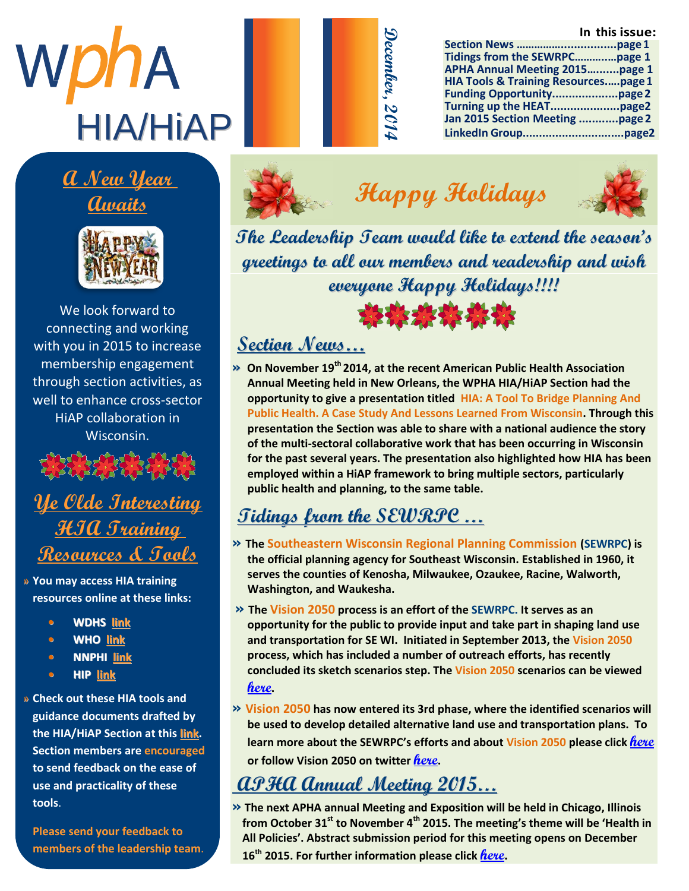**In this issue:**

**Section News …………….................page1 Tidings from the SEWRPC………..…page 1 APHA Annual Meeting 2015….......page 1 HIA Tools & Training Resources.….page1 Funding Opportunity....................page2 Turning up the HEAT.....................page2 Jan 2015 Section Meeting ............page 2 LinkedIn Group...............................page2**



#### $\overline{M}$  New Hegy <u>row</u> you 1. <mark>Awaits</mark> 1997 **A New Year**



t e a m . I n h e r o l e a se We look forward to connecting and working with you in 2015 to increase membership engagement p chometer in guad through section activities, as well to enhance cross-sector HiAP collaboration in o r t wisconsin.



#### $\overline{H}$   $\overline{M}$   $\overline{I}$   $\overline{q}$ <u> Ye Olde Interesting</u>  $\mu$  *M Graining* <u> HIA Training</u> Resaurces & Tao <u>Resources & Tools</u>

» You may access HIA training resources online at these links:

- H e a l t h  $\mathcal{L}_{\mathcal{L}}$  is a b  $\mathcal{L}_{\mathcal{L}}$  . A b b  $\mathcal{L}_{\mathcal{L}}$ **• • WDHS <u>link</u> the p independent of**  $\mathbf{r}$
- **•** WHO <u>link</u>
- U n i v e r s i t y [o f](http://www.nnphi.org/program-areas/health-in-all-policies/health-impact-assessment/hia-resources-webinars-and-trainings) W i s c o n s i n **• NNPHI link**
- M a d i s o n w e r e s h e w i l l **• HIP link** b e w o r k [i n g](http://www.humanimpact.org/new-to-hia/tools-a-resources/) t o w a r d s a
- » Check out these HIA tools and guidance documents drafted by the HIA/HiAP Section at this <u>link</u>. **h** extraction members are encouraged t out of the line to are encouraged **to send feedback on the ease of**  $\frac{1}{2}$ use and practicality of these c a r e r e r e r e a v o r s . G o o d e a v o d e a v o d e a v o o d e a v o o d e a v o o d e a v o o d e **tools**.

**Please send your feedback to members of the leadership team**.



**December, 2**

**0 1**



**The Leadership Team would like to extend the season's greetings to all our members and readership and wish everyone Happy Holidays!!!!**



## **Section News…**

**» On November 19th 2014, at the recent American Public Health Association Annual Meeting held in New Orleans, the WPHA HIA/HiAP Section had the opportunity to give a presentation titled HIA: A Tool To Bridge Planning And Public Health. A Case Study And Lessons Learned From Wisconsin. Through this presentation the Section was able to share with a national audience the story of the multi-sectoral collaborative work that has been occurring in Wisconsin for the past several years. The presentation also highlighted how HIA has been employed within a HiAP framework to bring multiple sectors, particularly public health and planning, to the same table.**

## **Tidings from the SEWRPC …**

- **» The Southeastern Wisconsin Regional Planning Commission (SEWRPC) is the official planning agency for Southeast Wisconsin. Established in 1960, it serves the counties of Kenosha, Milwaukee, Ozaukee, Racine, Walworth, Washington, and Waukesha.**
- **» The Vision 2050 process is an effort of the SEWRPC. It serves as an opportunity for the public to provide input and take part in shaping land use and transportation for SE WI. Initiated in September 2013, the Vision 2050 process, which has included a number of outreach efforts, has recently concluded its sketch scenarios step. The Vision 2050 scenarios can be viewed [here](http://sewrpc.engagingplans.org/bp/get-started).**
- **» Vision 2050 has now entered its 3rd phase, where the identified scenarios will be used to develop detailed alternative land use and transportation plans. To learn more about the SEWRPC's efforts and about Vision 2050 please click [here](http://vision2050sewis.org/Vision2050) or follow Vision 2050 on twitter [here](https://twitter.com/Vision2050SEWis/).**

# **APHA Annual Meeting 2015…**

**» The next APHA annual Meeting and Exposition will be held in Chicago, Illinois from October 31st to November 4th 2015. The meeting's theme will be 'Health in All Policies'. Abstract submission period for this meeting opens on December 16th 2015. For further information please click [here](http://apha.org/events-and-meetings/annual).**